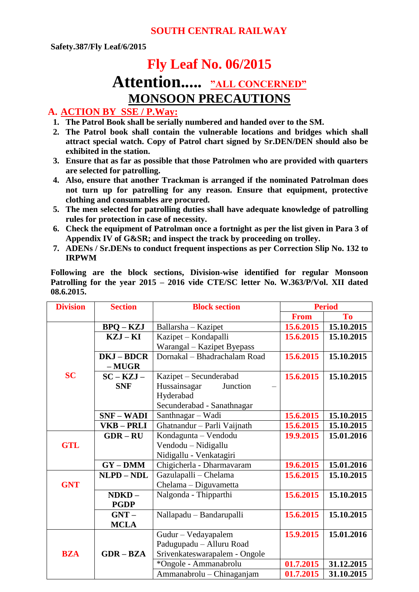# **Fly Leaf No. 06/2015**

# **Attention..... "ALL CONCERNED" MONSOON PRECAUTIONS**

#### **A. ACTION BY SSE / P.Way:**

- **1. The Patrol Book shall be serially numbered and handed over to the SM.**
- **2. The Patrol book shall contain the vulnerable locations and bridges which shall attract special watch. Copy of Patrol chart signed by Sr.DEN/DEN should also be exhibited in the station.**
- **3. Ensure that as far as possible that those Patrolmen who are provided with quarters are selected for patrolling.**
- **4. Also, ensure that another Trackman is arranged if the nominated Patrolman does not turn up for patrolling for any reason. Ensure that equipment, protective clothing and consumables are procured.**
- **5. The men selected for patrolling duties shall have adequate knowledge of patrolling rules for protection in case of necessity.**
- **6. Check the equipment of Patrolman once a fortnight as per the list given in Para 3 of Appendix IV of G&SR; and inspect the track by proceeding on trolley.**
- **7. ADENs / Sr.DENs to conduct frequent inspections as per Correction Slip No. 132 to IRPWM**

**Following are the block sections, Division-wise identified for regular Monsoon Patrolling for the year 2015 – 2016 vide CTE/SC letter No. W.363/P/Vol. XII dated 08.6.2015.**

| <b>Division</b> | <b>Section</b>    | <b>Block section</b>          | <b>Period</b> |            |
|-----------------|-------------------|-------------------------------|---------------|------------|
|                 |                   |                               | <b>From</b>   | To         |
|                 | $BPQ - KZJ$       | Ballarsha - Kazipet           | 15.6.2015     | 15.10.2015 |
|                 | $KZJ - KI$        | Kazipet - Kondapalli          | 15.6.2015     | 15.10.2015 |
|                 |                   | Warangal - Kazipet Byepass    |               |            |
|                 | <b>DKJ-BDCR</b>   | Dornakal - Bhadrachalam Road  | 15.6.2015     | 15.10.2015 |
|                 | $- MUGR$          |                               |               |            |
| <b>SC</b>       | $SC - KZJ -$      | Kazipet – Secunderabad        | 15.6.2015     | 15.10.2015 |
|                 | <b>SNF</b>        | Hussainsagar<br>Junction      |               |            |
|                 |                   | Hyderabad                     |               |            |
|                 |                   | Secunderabad - Sanathnagar    |               |            |
|                 | <b>SNF-WADI</b>   | Santhnagar - Wadi             | 15.6.2015     | 15.10.2015 |
|                 | VKB-PRLI          | Ghatnandur - Parli Vaijnath   | 15.6.2015     | 15.10.2015 |
|                 | $GDR - RU$        | Kondagunta - Vendodu          | 19.9.2015     | 15.01.2016 |
| <b>GTL</b>      |                   | Vendodu - Nidigallu           |               |            |
|                 |                   | Nidigallu - Venkatagiri       |               |            |
|                 | $GY - DMM$        | Chigicherla - Dharmavaram     | 19.6.2015     | 15.01.2016 |
|                 | <b>NLPD - NDL</b> | Gazulapalli - Chelama         | 15.6.2015     | 15.10.2015 |
| <b>GNT</b>      |                   | Chelama - Diguvametta         |               |            |
|                 | $NDKD -$          | Nalgonda - Thipparthi         | 15.6.2015     | 15.10.2015 |
|                 | <b>PGDP</b>       |                               |               |            |
|                 | $GNT -$           | Nallapadu - Bandarupalli      | 15.6.2015     | 15.10.2015 |
|                 | <b>MCLA</b>       |                               |               |            |
|                 |                   | Gudur - Vedayapalem           | 15.9.2015     | 15.01.2016 |
|                 |                   | Padugupadu - Alluru Road      |               |            |
| <b>BZA</b>      | $GDR - BZA$       | Srivenkateswarapalem - Ongole |               |            |
|                 |                   | *Ongole - Ammanabrolu         | 01.7.2015     | 31.12.2015 |
|                 |                   | Ammanabrolu - Chinaganjam     | 01.7.2015     | 31.10.2015 |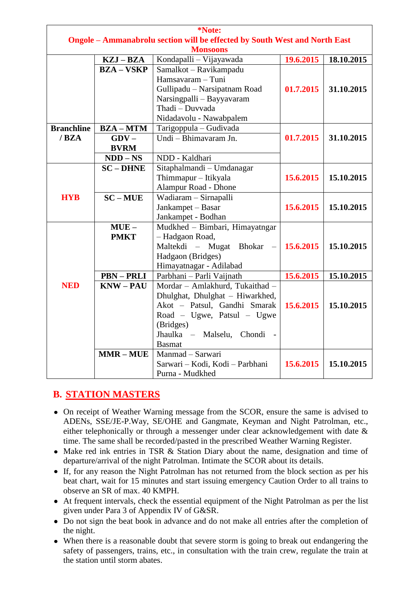| *Note:                                                                     |                 |                                 |           |            |  |  |  |
|----------------------------------------------------------------------------|-----------------|---------------------------------|-----------|------------|--|--|--|
| Ongole - Ammanabrolu section will be effected by South West and North East |                 |                                 |           |            |  |  |  |
| <b>Monsoons</b>                                                            |                 |                                 |           |            |  |  |  |
|                                                                            | KZJ-BZA         | Kondapalli - Vijayawada         | 19.6.2015 | 18.10.2015 |  |  |  |
|                                                                            | <b>BZA-VSKP</b> | Samalkot - Ravikampadu          |           |            |  |  |  |
|                                                                            |                 | Hamsavaram - Tuni               |           |            |  |  |  |
|                                                                            |                 | Gullipadu - Narsipatnam Road    | 01.7.2015 | 31.10.2015 |  |  |  |
|                                                                            |                 | Narsingpalli - Bayyavaram       |           |            |  |  |  |
|                                                                            |                 | Thadi - Duvvada                 |           |            |  |  |  |
|                                                                            |                 | Nidadavolu - Nawabpalem         |           |            |  |  |  |
| <b>Branchline</b>                                                          | $BZA-MTM$       | Tarigoppula - Gudivada          |           |            |  |  |  |
| /BZA                                                                       | $GDV -$         | Undi - Bhimavaram Jn.           | 01.7.2015 | 31.10.2015 |  |  |  |
|                                                                            | <b>BVRM</b>     |                                 |           |            |  |  |  |
|                                                                            | $NDD-NS$        | NDD - Kaldhari                  |           |            |  |  |  |
|                                                                            | $SC$ – DHNE     | Sitaphalmandi - Umdanagar       |           |            |  |  |  |
|                                                                            |                 | Thimmapur - Itikyala            | 15.6.2015 | 15.10.2015 |  |  |  |
|                                                                            |                 | Alampur Road - Dhone            |           |            |  |  |  |
| <b>HYB</b>                                                                 | $SC-MUE$        | Wadiaram - Sirnapalli           |           |            |  |  |  |
|                                                                            |                 | Jankampet - Basar               | 15.6.2015 | 15.10.2015 |  |  |  |
|                                                                            |                 | Jankampet - Bodhan              |           |            |  |  |  |
|                                                                            | $MUE -$         | Mudkhed - Bimbari, Himayatngar  |           |            |  |  |  |
|                                                                            | <b>PMKT</b>     | - Hadgaon Road,                 |           |            |  |  |  |
|                                                                            |                 | Maltekdi - Mugat Bhokar         | 15.6.2015 | 15.10.2015 |  |  |  |
|                                                                            |                 | Hadgaon (Bridges)               |           |            |  |  |  |
|                                                                            |                 | Himayatnagar - Adilabad         |           |            |  |  |  |
|                                                                            | <b>PBN-PRLI</b> | Parbhani - Parli Vaijnath       | 15.6.2015 | 15.10.2015 |  |  |  |
| <b>NED</b>                                                                 | $KNW - PAU$     | Mordar - Amlakhurd, Tukaithad - |           |            |  |  |  |
|                                                                            |                 | Dhulghat, Dhulghat - Hiwarkhed, |           |            |  |  |  |
|                                                                            |                 | Akot - Patsul, Gandhi Smarak    | 15.6.2015 | 15.10.2015 |  |  |  |
|                                                                            |                 | Road - Ugwe, Patsul - Ugwe      |           |            |  |  |  |
|                                                                            |                 | (Bridges)                       |           |            |  |  |  |
|                                                                            |                 | Jhaulka – Malselu,<br>Chondi    |           |            |  |  |  |
|                                                                            |                 | <b>Basmat</b>                   |           |            |  |  |  |
|                                                                            | $MMR - MUE$     | Manmad - Sarwari                |           |            |  |  |  |
|                                                                            |                 | Sarwari - Kodi, Kodi - Parbhani | 15.6.2015 | 15.10.2015 |  |  |  |
|                                                                            |                 | Purna - Mudkhed                 |           |            |  |  |  |

#### **B. STATION MASTERS**

- On receipt of Weather Warning message from the SCOR, ensure the same is advised to ADENs, SSE/JE-P.Way, SE/OHE and Gangmate, Keyman and Night Patrolman, etc., either telephonically or through a messenger under clear acknowledgement with date & time. The same shall be recorded/pasted in the prescribed Weather Warning Register.
- Make red ink entries in TSR & Station Diary about the name, designation and time of departure/arrival of the night Patrolman. Intimate the SCOR about its details.
- If, for any reason the Night Patrolman has not returned from the block section as per his beat chart, wait for 15 minutes and start issuing emergency Caution Order to all trains to observe an SR of max. 40 KMPH.
- At frequent intervals, check the essential equipment of the Night Patrolman as per the list given under Para 3 of Appendix IV of G&SR.
- Do not sign the beat book in advance and do not make all entries after the completion of the night.
- When there is a reasonable doubt that severe storm is going to break out endangering the safety of passengers, trains, etc., in consultation with the train crew, regulate the train at the station until storm abates.